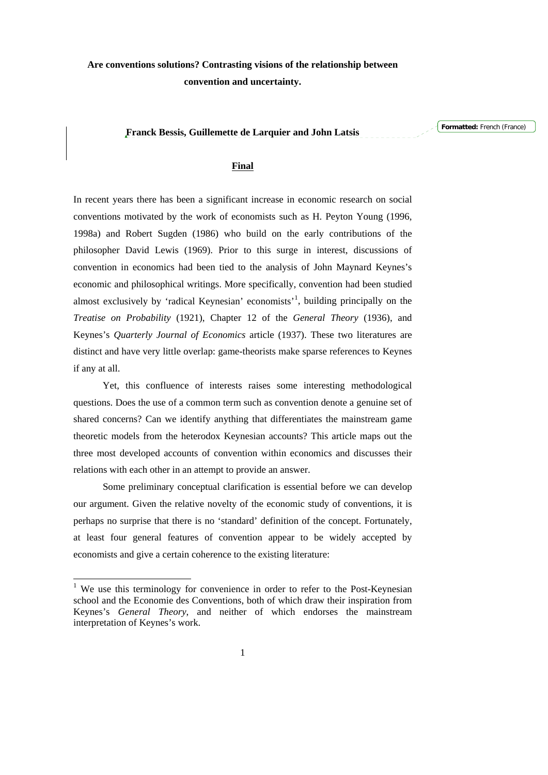## **Franck Bessis, Guillemette de Larquier and John Latsis**

**Formatted:** French (France)

# **Final**

In recent years there has been a significant increase in economic research on social conventions motivated by the work of economists such as H. Peyton Young (1996, 1998a) and Robert Sugden (1986) who build on the early contributions of the philosopher David Lewis (1969). Prior to this surge in interest, discussions of convention in economics had been tied to the analysis of John Maynard Keynes's economic and philosophical writings. More specifically, convention had been studied almost exclusively by 'radical Keynesian' economists<sup>[1](#page-0-0)</sup>, building principally on the *Treatise on Probability* (1921), Chapter 12 of the *General Theory* (1936), and Keynes's *Quarterly Journal of Economics* article (1937). These two literatures are distinct and have very little overlap: game-theorists make sparse references to Keynes if any at all.

 Yet, this confluence of interests raises some interesting methodological questions. Does the use of a common term such as convention denote a genuine set of shared concerns? Can we identify anything that differentiates the mainstream game theoretic models from the heterodox Keynesian accounts? This article maps out the three most developed accounts of convention within economics and discusses their relations with each other in an attempt to provide an answer.

Some preliminary conceptual clarification is essential before we can develop our argument. Given the relative novelty of the economic study of conventions, it is perhaps no surprise that there is no 'standard' definition of the concept. Fortunately, at least four general features of convention appear to be widely accepted by economists and give a certain coherence to the existing literature:

-

<span id="page-0-0"></span><sup>&</sup>lt;sup>1</sup> We use this terminology for convenience in order to refer to the Post-Keynesian school and the Economie des Conventions, both of which draw their inspiration from Keynes's *General Theory*, and neither of which endorses the mainstream interpretation of Keynes's work.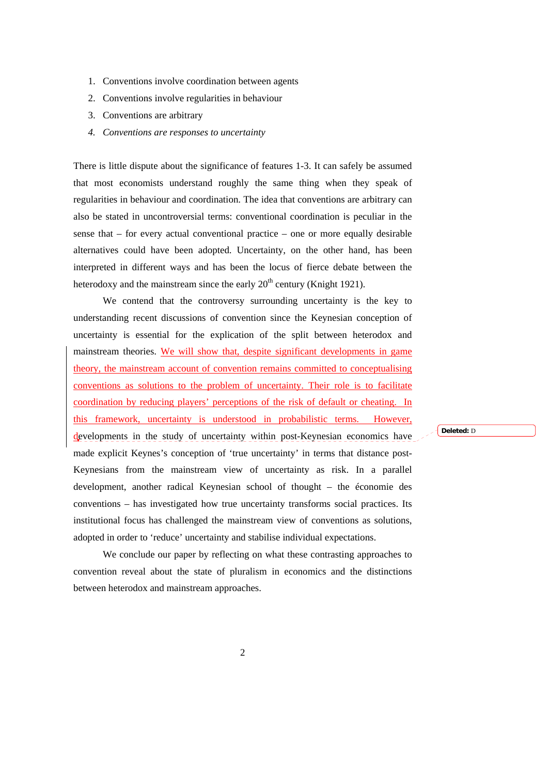- 1. Conventions involve coordination between agents
- 2. Conventions involve regularities in behaviour
- 3. Conventions are arbitrary
- *4. Conventions are responses to uncertainty*

There is little dispute about the significance of features 1-3. It can safely be assumed that most economists understand roughly the same thing when they speak of regularities in behaviour and coordination. The idea that conventions are arbitrary can also be stated in uncontroversial terms: conventional coordination is peculiar in the sense that – for every actual conventional practice – one or more equally desirable alternatives could have been adopted. Uncertainty, on the other hand, has been interpreted in different ways and has been the locus of fierce debate between the heterodoxy and the mainstream since the early  $20<sup>th</sup>$  century (Knight 1921).

We contend that the controversy surrounding uncertainty is the key to understanding recent discussions of convention since the Keynesian conception of uncertainty is essential for the explication of the split between heterodox and mainstream theories. We will show that, despite significant developments in game theory, the mainstream account of convention remains committed to conceptualising conventions as solutions to the problem of uncertainty. Their role is to facilitate coordination by reducing players' perceptions of the risk of default or cheating. In this framework, uncertainty is understood in probabilistic terms. However, developments in the study of uncertainty within post-Keynesian economics have made explicit Keynes's conception of 'true uncertainty' in terms that distance post-Keynesians from the mainstream view of uncertainty as risk. In a parallel development, another radical Keynesian school of thought – the économie des conventions – has investigated how true uncertainty transforms social practices. Its institutional focus has challenged the mainstream view of conventions as solutions, adopted in order to 'reduce' uncertainty and stabilise individual expectations.

We conclude our paper by reflecting on what these contrasting approaches to convention reveal about the state of pluralism in economics and the distinctions between heterodox and mainstream approaches.

**Deleted:** D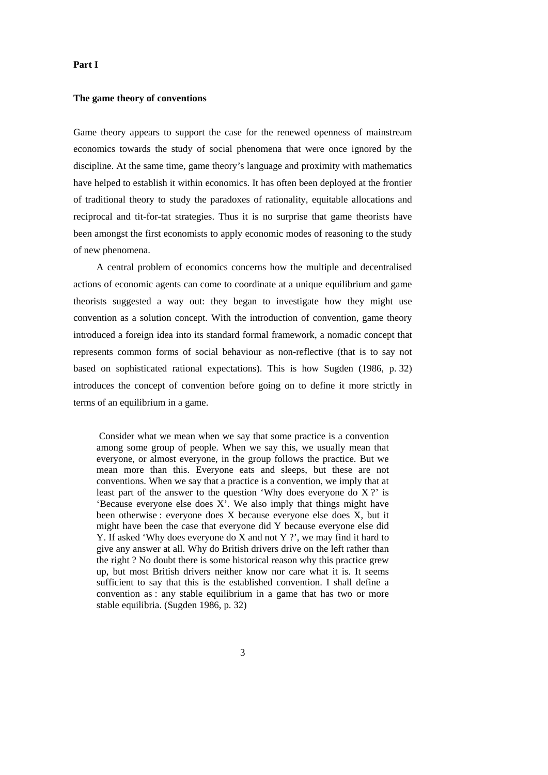### **Part I**

#### **The game theory of conventions**

Game theory appears to support the case for the renewed openness of mainstream economics towards the study of social phenomena that were once ignored by the discipline. At the same time, game theory's language and proximity with mathematics have helped to establish it within economics. It has often been deployed at the frontier of traditional theory to study the paradoxes of rationality, equitable allocations and reciprocal and tit-for-tat strategies. Thus it is no surprise that game theorists have been amongst the first economists to apply economic modes of reasoning to the study of new phenomena.

A central problem of economics concerns how the multiple and decentralised actions of economic agents can come to coordinate at a unique equilibrium and game theorists suggested a way out: they began to investigate how they might use convention as a solution concept. With the introduction of convention, game theory introduced a foreign idea into its standard formal framework, a nomadic concept that represents common forms of social behaviour as non-reflective (that is to say not based on sophisticated rational expectations). This is how Sugden (1986, p. 32) introduces the concept of convention before going on to define it more strictly in terms of an equilibrium in a game.

 Consider what we mean when we say that some practice is a convention among some group of people. When we say this, we usually mean that everyone, or almost everyone, in the group follows the practice. But we mean more than this. Everyone eats and sleeps, but these are not conventions. When we say that a practice is a convention, we imply that at least part of the answer to the question 'Why does everyone do X ?' is 'Because everyone else does X'. We also imply that things might have been otherwise : everyone does X because everyone else does X, but it might have been the case that everyone did Y because everyone else did Y. If asked 'Why does everyone do X and not Y ?', we may find it hard to give any answer at all. Why do British drivers drive on the left rather than the right ? No doubt there is some historical reason why this practice grew up, but most British drivers neither know nor care what it is. It seems sufficient to say that this is the established convention. I shall define a convention as : any stable equilibrium in a game that has two or more stable equilibria. (Sugden 1986, p. 32)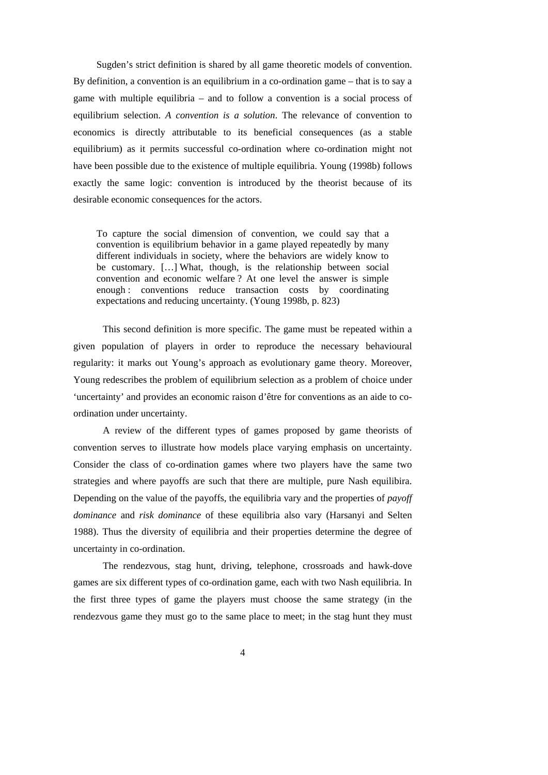Sugden's strict definition is shared by all game theoretic models of convention. By definition, a convention is an equilibrium in a co-ordination game – that is to say a game with multiple equilibria – and to follow a convention is a social process of equilibrium selection. *A convention is a solution*. The relevance of convention to economics is directly attributable to its beneficial consequences (as a stable equilibrium) as it permits successful co-ordination where co-ordination might not have been possible due to the existence of multiple equilibria. Young (1998b) follows exactly the same logic: convention is introduced by the theorist because of its desirable economic consequences for the actors.

To capture the social dimension of convention, we could say that a convention is equilibrium behavior in a game played repeatedly by many different individuals in society, where the behaviors are widely know to be customary. […] What, though, is the relationship between social convention and economic welfare ? At one level the answer is simple enough : conventions reduce transaction costs by coordinating expectations and reducing uncertainty. (Young 1998b, p. 823)

This second definition is more specific. The game must be repeated within a given population of players in order to reproduce the necessary behavioural regularity: it marks out Young's approach as evolutionary game theory. Moreover, Young redescribes the problem of equilibrium selection as a problem of choice under 'uncertainty' and provides an economic raison d'être for conventions as an aide to coordination under uncertainty.

A review of the different types of games proposed by game theorists of convention serves to illustrate how models place varying emphasis on uncertainty. Consider the class of co-ordination games where two players have the same two strategies and where payoffs are such that there are multiple, pure Nash equilibira. Depending on the value of the payoffs, the equilibria vary and the properties of *payoff dominance* and *risk dominance* of these equilibria also vary (Harsanyi and Selten 1988). Thus the diversity of equilibria and their properties determine the degree of uncertainty in co-ordination.

The rendezvous, stag hunt, driving, telephone, crossroads and hawk-dove games are six different types of co-ordination game, each with two Nash equilibria. In the first three types of game the players must choose the same strategy (in the rendezvous game they must go to the same place to meet; in the stag hunt they must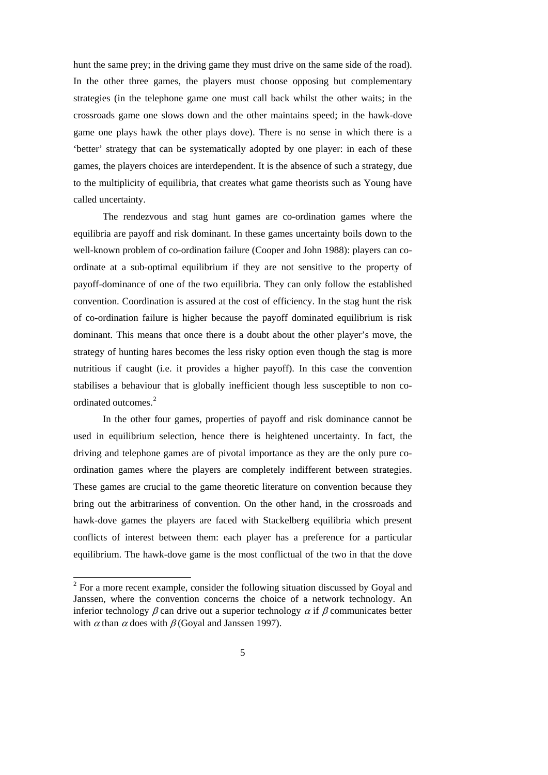hunt the same prey; in the driving game they must drive on the same side of the road). In the other three games, the players must choose opposing but complementary strategies (in the telephone game one must call back whilst the other waits; in the crossroads game one slows down and the other maintains speed; in the hawk-dove game one plays hawk the other plays dove). There is no sense in which there is a 'better' strategy that can be systematically adopted by one player: in each of these games, the players choices are interdependent. It is the absence of such a strategy, due to the multiplicity of equilibria, that creates what game theorists such as Young have called uncertainty.

The rendezvous and stag hunt games are co-ordination games where the equilibria are payoff and risk dominant. In these games uncertainty boils down to the well-known problem of co-ordination failure (Cooper and John 1988): players can coordinate at a sub-optimal equilibrium if they are not sensitive to the property of payoff-dominance of one of the two equilibria. They can only follow the established convention. Coordination is assured at the cost of efficiency. In the stag hunt the risk of co-ordination failure is higher because the payoff dominated equilibrium is risk dominant. This means that once there is a doubt about the other player's move, the strategy of hunting hares becomes the less risky option even though the stag is more nutritious if caught (i.e. it provides a higher payoff). In this case the convention stabilises a behaviour that is globally inefficient though less susceptible to non co-ordinated outcomes.<sup>[2](#page-4-0)</sup>

In the other four games, properties of payoff and risk dominance cannot be used in equilibrium selection, hence there is heightened uncertainty. In fact, the driving and telephone games are of pivotal importance as they are the only pure coordination games where the players are completely indifferent between strategies. These games are crucial to the game theoretic literature on convention because they bring out the arbitrariness of convention. On the other hand, in the crossroads and hawk-dove games the players are faced with Stackelberg equilibria which present conflicts of interest between them: each player has a preference for a particular equilibrium. The hawk-dove game is the most conflictual of the two in that the dove

-

<span id="page-4-0"></span> $2^2$  For a more recent example, consider the following situation discussed by Goyal and Janssen, where the convention concerns the choice of a network technology. An inferior technology  $\beta$  can drive out a superior technology  $\alpha$  if  $\beta$  communicates better with  $\alpha$  than  $\alpha$  does with  $\beta$  (Goval and Janssen 1997).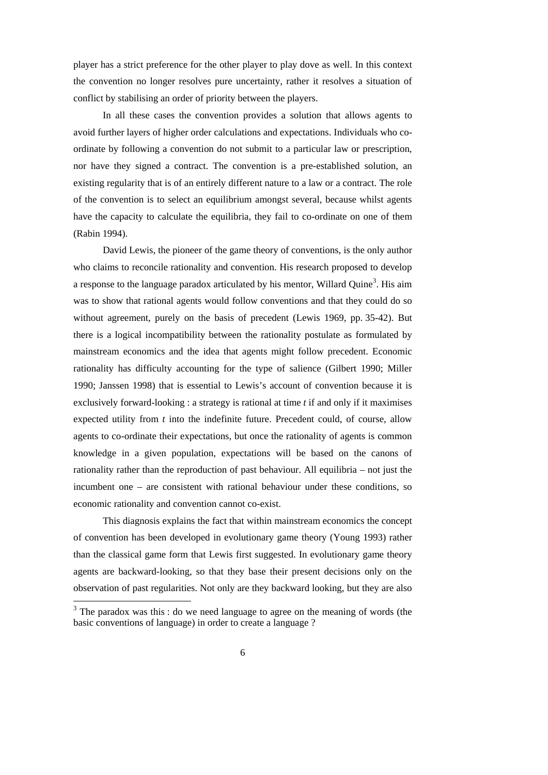player has a strict preference for the other player to play dove as well. In this context the convention no longer resolves pure uncertainty, rather it resolves a situation of conflict by stabilising an order of priority between the players.

In all these cases the convention provides a solution that allows agents to avoid further layers of higher order calculations and expectations. Individuals who coordinate by following a convention do not submit to a particular law or prescription, nor have they signed a contract. The convention is a pre-established solution, an existing regularity that is of an entirely different nature to a law or a contract. The role of the convention is to select an equilibrium amongst several, because whilst agents have the capacity to calculate the equilibria, they fail to co-ordinate on one of them (Rabin 1994).

David Lewis, the pioneer of the game theory of conventions, is the only author who claims to reconcile rationality and convention. His research proposed to develop a response to the language paradox articulated by his mentor, Willard Quine<sup>[3](#page-5-0)</sup>. His aim was to show that rational agents would follow conventions and that they could do so without agreement, purely on the basis of precedent (Lewis 1969, pp. 35-42). But there is a logical incompatibility between the rationality postulate as formulated by mainstream economics and the idea that agents might follow precedent. Economic rationality has difficulty accounting for the type of salience (Gilbert 1990; Miller 1990; Janssen 1998) that is essential to Lewis's account of convention because it is exclusively forward-looking : a strategy is rational at time *t* if and only if it maximises expected utility from *t* into the indefinite future. Precedent could, of course, allow agents to co-ordinate their expectations, but once the rationality of agents is common knowledge in a given population, expectations will be based on the canons of rationality rather than the reproduction of past behaviour. All equilibria – not just the incumbent one – are consistent with rational behaviour under these conditions, so economic rationality and convention cannot co-exist.

This diagnosis explains the fact that within mainstream economics the concept of convention has been developed in evolutionary game theory (Young 1993) rather than the classical game form that Lewis first suggested. In evolutionary game theory agents are backward-looking, so that they base their present decisions only on the observation of past regularities. Not only are they backward looking, but they are also

<span id="page-5-0"></span><sup>&</sup>lt;sup>3</sup> The paradox was this : do we need language to agree on the meaning of words (the basic conventions of language) in order to create a language ?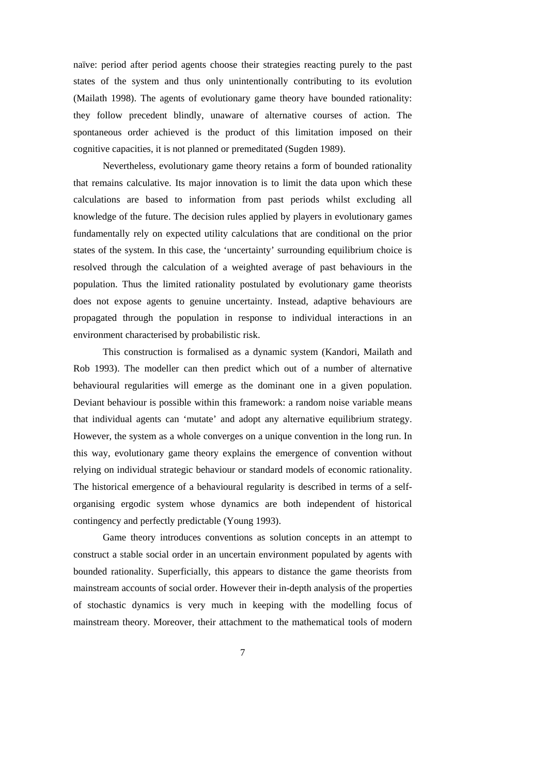naïve: period after period agents choose their strategies reacting purely to the past states of the system and thus only unintentionally contributing to its evolution (Mailath 1998). The agents of evolutionary game theory have bounded rationality: they follow precedent blindly, unaware of alternative courses of action. The spontaneous order achieved is the product of this limitation imposed on their cognitive capacities, it is not planned or premeditated (Sugden 1989).

Nevertheless, evolutionary game theory retains a form of bounded rationality that remains calculative. Its major innovation is to limit the data upon which these calculations are based to information from past periods whilst excluding all knowledge of the future. The decision rules applied by players in evolutionary games fundamentally rely on expected utility calculations that are conditional on the prior states of the system. In this case, the 'uncertainty' surrounding equilibrium choice is resolved through the calculation of a weighted average of past behaviours in the population. Thus the limited rationality postulated by evolutionary game theorists does not expose agents to genuine uncertainty. Instead, adaptive behaviours are propagated through the population in response to individual interactions in an environment characterised by probabilistic risk.

This construction is formalised as a dynamic system (Kandori, Mailath and Rob 1993). The modeller can then predict which out of a number of alternative behavioural regularities will emerge as the dominant one in a given population. Deviant behaviour is possible within this framework: a random noise variable means that individual agents can 'mutate' and adopt any alternative equilibrium strategy. However, the system as a whole converges on a unique convention in the long run. In this way, evolutionary game theory explains the emergence of convention without relying on individual strategic behaviour or standard models of economic rationality. The historical emergence of a behavioural regularity is described in terms of a selforganising ergodic system whose dynamics are both independent of historical contingency and perfectly predictable (Young 1993).

Game theory introduces conventions as solution concepts in an attempt to construct a stable social order in an uncertain environment populated by agents with bounded rationality. Superficially, this appears to distance the game theorists from mainstream accounts of social order. However their in-depth analysis of the properties of stochastic dynamics is very much in keeping with the modelling focus of mainstream theory. Moreover, their attachment to the mathematical tools of modern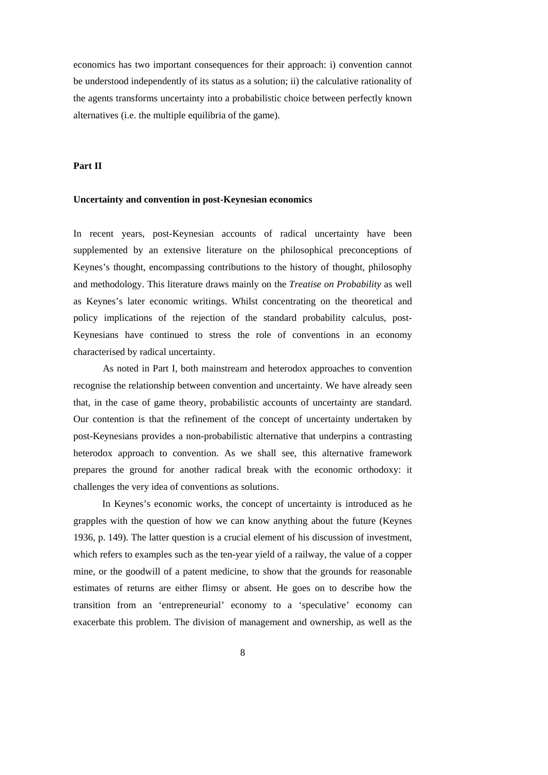economics has two important consequences for their approach: i) convention cannot be understood independently of its status as a solution; ii) the calculative rationality of the agents transforms uncertainty into a probabilistic choice between perfectly known alternatives (i.e. the multiple equilibria of the game).

# **Part II**

#### **Uncertainty and convention in post-Keynesian economics**

In recent years, post-Keynesian accounts of radical uncertainty have been supplemented by an extensive literature on the philosophical preconceptions of Keynes's thought, encompassing contributions to the history of thought, philosophy and methodology. This literature draws mainly on the *Treatise on Probability* as well as Keynes's later economic writings. Whilst concentrating on the theoretical and policy implications of the rejection of the standard probability calculus, post-Keynesians have continued to stress the role of conventions in an economy characterised by radical uncertainty.

As noted in Part I, both mainstream and heterodox approaches to convention recognise the relationship between convention and uncertainty. We have already seen that, in the case of game theory, probabilistic accounts of uncertainty are standard. Our contention is that the refinement of the concept of uncertainty undertaken by post-Keynesians provides a non-probabilistic alternative that underpins a contrasting heterodox approach to convention. As we shall see, this alternative framework prepares the ground for another radical break with the economic orthodoxy: it challenges the very idea of conventions as solutions.

In Keynes's economic works, the concept of uncertainty is introduced as he grapples with the question of how we can know anything about the future (Keynes 1936, p. 149). The latter question is a crucial element of his discussion of investment, which refers to examples such as the ten-year yield of a railway, the value of a copper mine, or the goodwill of a patent medicine, to show that the grounds for reasonable estimates of returns are either flimsy or absent. He goes on to describe how the transition from an 'entrepreneurial' economy to a 'speculative' economy can exacerbate this problem. The division of management and ownership, as well as the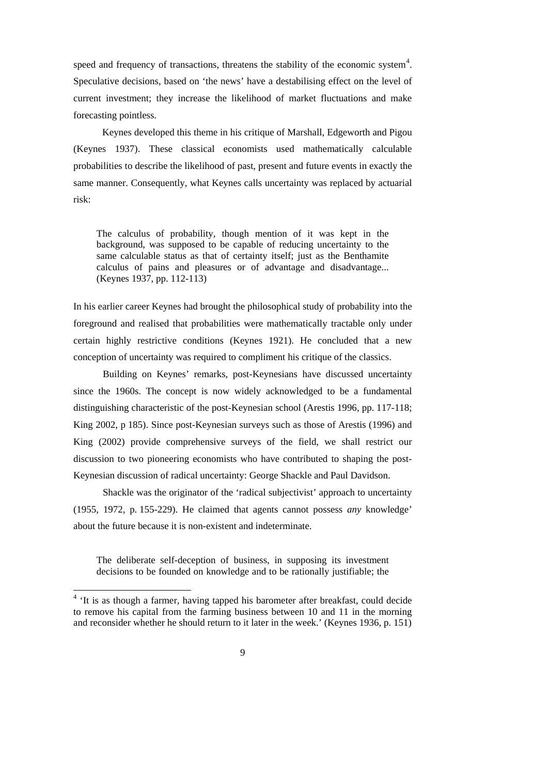speed and frequency of transactions, threatens the stability of the economic system<sup>[4](#page-8-0)</sup>. Speculative decisions, based on 'the news' have a destabilising effect on the level of current investment; they increase the likelihood of market fluctuations and make forecasting pointless.

Keynes developed this theme in his critique of Marshall, Edgeworth and Pigou (Keynes 1937). These classical economists used mathematically calculable probabilities to describe the likelihood of past, present and future events in exactly the same manner. Consequently, what Keynes calls uncertainty was replaced by actuarial risk:

The calculus of probability, though mention of it was kept in the background, was supposed to be capable of reducing uncertainty to the same calculable status as that of certainty itself; just as the Benthamite calculus of pains and pleasures or of advantage and disadvantage... (Keynes 1937, pp. 112-113)

In his earlier career Keynes had brought the philosophical study of probability into the foreground and realised that probabilities were mathematically tractable only under certain highly restrictive conditions (Keynes 1921). He concluded that a new conception of uncertainty was required to compliment his critique of the classics.

Building on Keynes' remarks, post-Keynesians have discussed uncertainty since the 1960s. The concept is now widely acknowledged to be a fundamental distinguishing characteristic of the post-Keynesian school (Arestis 1996, pp. 117-118; King 2002, p 185). Since post-Keynesian surveys such as those of Arestis (1996) and King (2002) provide comprehensive surveys of the field, we shall restrict our discussion to two pioneering economists who have contributed to shaping the post-Keynesian discussion of radical uncertainty: George Shackle and Paul Davidson.

Shackle was the originator of the 'radical subjectivist' approach to uncertainty (1955, 1972, p. 155-229). He claimed that agents cannot possess *any* knowledge' about the future because it is non-existent and indeterminate.

The deliberate self-deception of business, in supposing its investment decisions to be founded on knowledge and to be rationally justifiable; the

<span id="page-8-0"></span><sup>&</sup>lt;sup>4</sup> 'It is as though a farmer, having tapped his barometer after breakfast, could decide to remove his capital from the farming business between 10 and 11 in the morning and reconsider whether he should return to it later in the week.' (Keynes 1936, p. 151)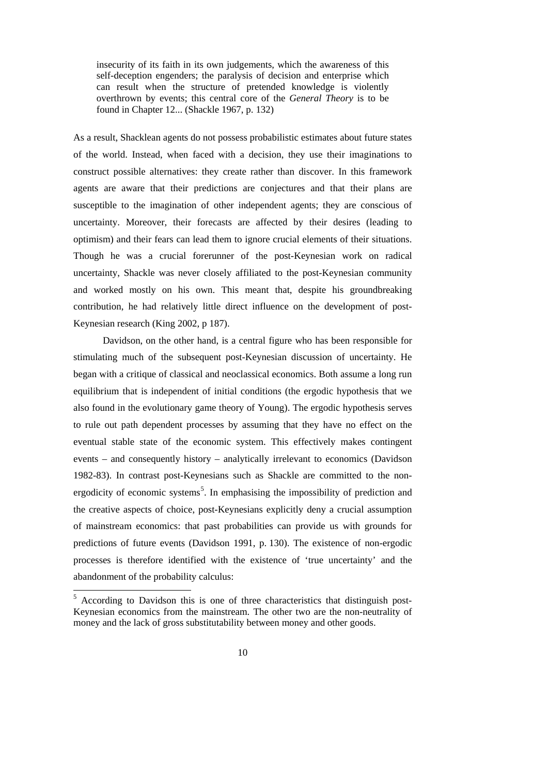insecurity of its faith in its own judgements, which the awareness of this self-deception engenders; the paralysis of decision and enterprise which can result when the structure of pretended knowledge is violently overthrown by events; this central core of the *General Theory* is to be found in Chapter 12... (Shackle 1967, p. 132)

As a result, Shacklean agents do not possess probabilistic estimates about future states of the world. Instead, when faced with a decision, they use their imaginations to construct possible alternatives: they create rather than discover. In this framework agents are aware that their predictions are conjectures and that their plans are susceptible to the imagination of other independent agents; they are conscious of uncertainty. Moreover, their forecasts are affected by their desires (leading to optimism) and their fears can lead them to ignore crucial elements of their situations. Though he was a crucial forerunner of the post-Keynesian work on radical uncertainty, Shackle was never closely affiliated to the post-Keynesian community and worked mostly on his own. This meant that, despite his groundbreaking contribution, he had relatively little direct influence on the development of post-Keynesian research (King 2002, p 187).

Davidson, on the other hand, is a central figure who has been responsible for stimulating much of the subsequent post-Keynesian discussion of uncertainty. He began with a critique of classical and neoclassical economics. Both assume a long run equilibrium that is independent of initial conditions (the ergodic hypothesis that we also found in the evolutionary game theory of Young). The ergodic hypothesis serves to rule out path dependent processes by assuming that they have no effect on the eventual stable state of the economic system. This effectively makes contingent events – and consequently history – analytically irrelevant to economics (Davidson 1982-83). In contrast post-Keynesians such as Shackle are committed to the non-ergodicity of economic systems<sup>[5](#page-9-0)</sup>. In emphasising the impossibility of prediction and the creative aspects of choice, post-Keynesians explicitly deny a crucial assumption of mainstream economics: that past probabilities can provide us with grounds for predictions of future events (Davidson 1991, p. 130). The existence of non-ergodic processes is therefore identified with the existence of 'true uncertainty' and the abandonment of the probability calculus:

<u>.</u>

<span id="page-9-0"></span><sup>&</sup>lt;sup>5</sup> According to Davidson this is one of three characteristics that distinguish post-Keynesian economics from the mainstream. The other two are the non-neutrality of money and the lack of gross substitutability between money and other goods.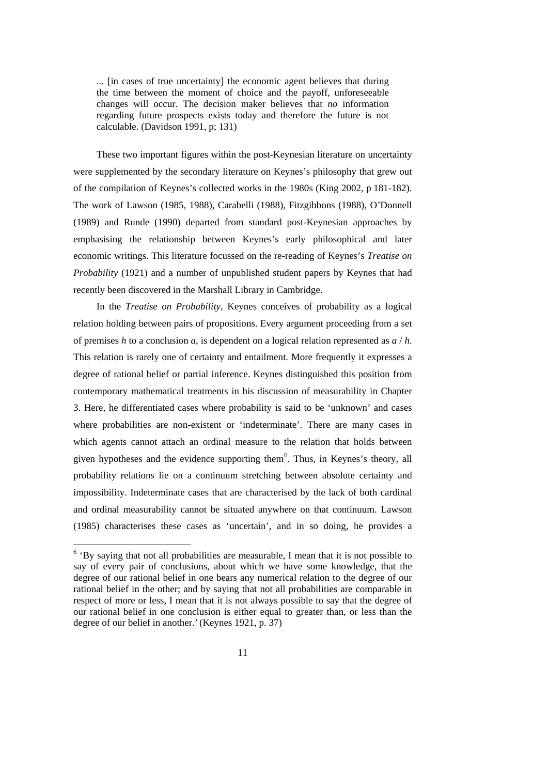... [in cases of true uncertainty] the economic agent believes that during the time between the moment of choice and the payoff, unforeseeable changes will occur. The decision maker believes that *no* information regarding future prospects exists today and therefore the future is not calculable. (Davidson 1991, p; 131)

These two important figures within the post-Keynesian literature on uncertainty were supplemented by the secondary literature on Keynes's philosophy that grew out of the compilation of Keynes's collected works in the 1980s (King 2002, p 181-182). The work of Lawson (1985, 1988), Carabelli (1988), Fitzgibbons (1988), O'Donnell (1989) and Runde (1990) departed from standard post-Keynesian approaches by emphasising the relationship between Keynes's early philosophical and later economic writings. This literature focussed on the re-reading of Keynes's *Treatise on Probability* (1921) and a number of unpublished student papers by Keynes that had recently been discovered in the Marshall Library in Cambridge.

In the *Treatise on Probability*, Keynes conceives of probability as a logical relation holding between pairs of propositions. Every argument proceeding from a set of premises *h* to a conclusion *a*, is dependent on a logical relation represented as *a* / *h*. This relation is rarely one of certainty and entailment. More frequently it expresses a degree of rational belief or partial inference. Keynes distinguished this position from contemporary mathematical treatments in his discussion of measurability in Chapter 3. Here, he differentiated cases where probability is said to be 'unknown' and cases where probabilities are non-existent or 'indeterminate'. There are many cases in which agents cannot attach an ordinal measure to the relation that holds between given hypotheses and the evidence supporting them<sup>[6](#page-10-0)</sup>. Thus, in Keynes's theory, all probability relations lie on a continuum stretching between absolute certainty and impossibility. Indeterminate cases that are characterised by the lack of both cardinal and ordinal measurability cannot be situated anywhere on that continuum. Lawson (1985) characterises these cases as 'uncertain', and in so doing, he provides a

-

<span id="page-10-0"></span><sup>&</sup>lt;sup>6</sup> 'By saying that not all probabilities are measurable, I mean that it is not possible to say of every pair of conclusions, about which we have some knowledge, that the degree of our rational belief in one bears any numerical relation to the degree of our rational belief in the other; and by saying that not all probabilities are comparable in respect of more or less, I mean that it is not always possible to say that the degree of our rational belief in one conclusion is either equal to greater than, or less than the degree of our belief in another.'(Keynes 1921, p. 37)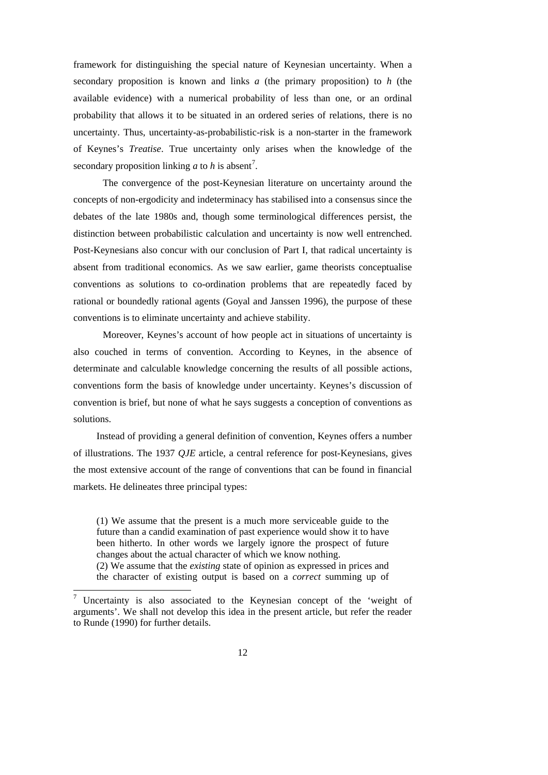framework for distinguishing the special nature of Keynesian uncertainty. When a secondary proposition is known and links *a* (the primary proposition) to *h* (the available evidence) with a numerical probability of less than one, or an ordinal probability that allows it to be situated in an ordered series of relations, there is no uncertainty. Thus, uncertainty-as-probabilistic-risk is a non-starter in the framework of Keynes's *Treatise*. True uncertainty only arises when the knowledge of the secondary proposition linking  $a$  to  $h$  is absent<sup>[7](#page-11-0)</sup>.

The convergence of the post-Keynesian literature on uncertainty around the concepts of non-ergodicity and indeterminacy has stabilised into a consensus since the debates of the late 1980s and, though some terminological differences persist, the distinction between probabilistic calculation and uncertainty is now well entrenched. Post-Keynesians also concur with our conclusion of Part I, that radical uncertainty is absent from traditional economics. As we saw earlier, game theorists conceptualise conventions as solutions to co-ordination problems that are repeatedly faced by rational or boundedly rational agents (Goyal and Janssen 1996), the purpose of these conventions is to eliminate uncertainty and achieve stability.

Moreover, Keynes's account of how people act in situations of uncertainty is also couched in terms of convention. According to Keynes, in the absence of determinate and calculable knowledge concerning the results of all possible actions, conventions form the basis of knowledge under uncertainty. Keynes's discussion of convention is brief, but none of what he says suggests a conception of conventions as solutions.

Instead of providing a general definition of convention, Keynes offers a number of illustrations. The 1937 *QJE* article, a central reference for post-Keynesians, gives the most extensive account of the range of conventions that can be found in financial markets. He delineates three principal types:

(1) We assume that the present is a much more serviceable guide to the future than a candid examination of past experience would show it to have been hitherto. In other words we largely ignore the prospect of future changes about the actual character of which we know nothing. (2) We assume that the *existing* state of opinion as expressed in prices and the character of existing output is based on a *correct* summing up of

-

<span id="page-11-0"></span><sup>&</sup>lt;sup>7</sup> Uncertainty is also associated to the Keynesian concept of the 'weight of arguments'. We shall not develop this idea in the present article, but refer the reader to Runde (1990) for further details.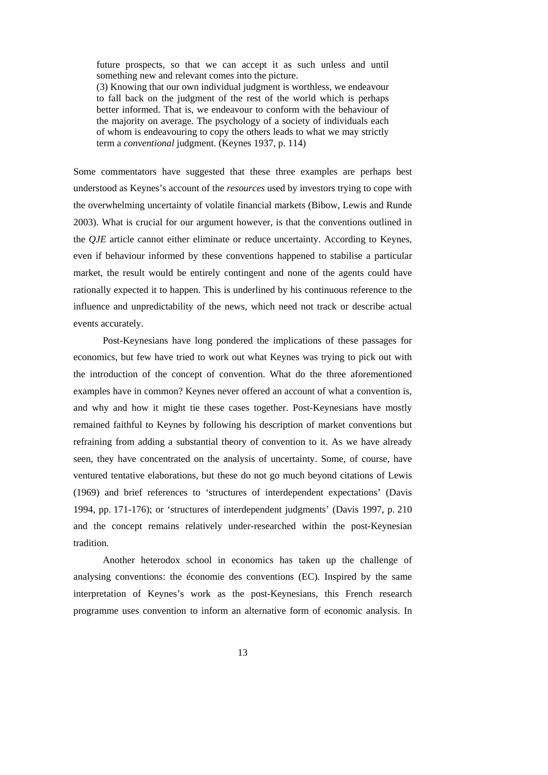future prospects, so that we can accept it as such unless and until something new and relevant comes into the picture.

(3) Knowing that our own individual judgment is worthless, we endeavour to fall back on the judgment of the rest of the world which is perhaps better informed. That is, we endeavour to conform with the behaviour of the majority on average. The psychology of a society of individuals each of whom is endeavouring to copy the others leads to what we may strictly term a *conventional* judgment. (Keynes 1937, p. 114)

Some commentators have suggested that these three examples are perhaps best understood as Keynes's account of the *resources* used by investors trying to cope with the overwhelming uncertainty of volatile financial markets (Bibow, Lewis and Runde 2003). What is crucial for our argument however, is that the conventions outlined in the *QJE* article cannot either eliminate or reduce uncertainty. According to Keynes, even if behaviour informed by these conventions happened to stabilise a particular market, the result would be entirely contingent and none of the agents could have rationally expected it to happen. This is underlined by his continuous reference to the influence and unpredictability of the news, which need not track or describe actual events accurately.

Post-Keynesians have long pondered the implications of these passages for economics, but few have tried to work out what Keynes was trying to pick out with the introduction of the concept of convention. What do the three aforementioned examples have in common? Keynes never offered an account of what a convention is, and why and how it might tie these cases together. Post-Keynesians have mostly remained faithful to Keynes by following his description of market conventions but refraining from adding a substantial theory of convention to it. As we have already seen, they have concentrated on the analysis of uncertainty. Some, of course, have ventured tentative elaborations, but these do not go much beyond citations of Lewis (1969) and brief references to 'structures of interdependent expectations' (Davis 1994, pp. 171-176); or 'structures of interdependent judgments' (Davis 1997, p. 210 and the concept remains relatively under-researched within the post-Keynesian tradition.

Another heterodox school in economics has taken up the challenge of analysing conventions: the économie des conventions (EC). Inspired by the same interpretation of Keynes's work as the post-Keynesians, this French research programme uses convention to inform an alternative form of economic analysis. In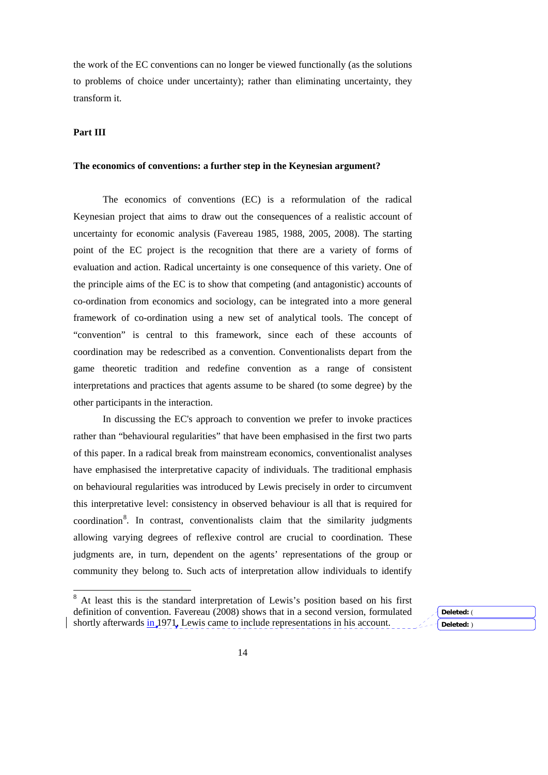the work of the EC conventions can no longer be viewed functionally (as the solutions to problems of choice under uncertainty); rather than eliminating uncertainty, they transform it.

### **Part III**

<u>.</u>

# **The economics of conventions: a further step in the Keynesian argument?**

The economics of conventions (EC) is a reformulation of the radical Keynesian project that aims to draw out the consequences of a realistic account of uncertainty for economic analysis (Favereau 1985, 1988, 2005, 2008). The starting point of the EC project is the recognition that there are a variety of forms of evaluation and action. Radical uncertainty is one consequence of this variety. One of the principle aims of the EC is to show that competing (and antagonistic) accounts of co-ordination from economics and sociology, can be integrated into a more general framework of co-ordination using a new set of analytical tools. The concept of "convention" is central to this framework, since each of these accounts of coordination may be redescribed as a convention. Conventionalists depart from the game theoretic tradition and redefine convention as a range of consistent interpretations and practices that agents assume to be shared (to some degree) by the other participants in the interaction.

In discussing the EC's approach to convention we prefer to invoke practices rather than "behavioural regularities" that have been emphasised in the first two parts of this paper. In a radical break from mainstream economics, conventionalist analyses have emphasised the interpretative capacity of individuals. The traditional emphasis on behavioural regularities was introduced by Lewis precisely in order to circumvent this interpretative level: consistency in observed behaviour is all that is required for coordination<sup>[8](#page-13-0)</sup>. In contrast, conventionalists claim that the similarity judgments allowing varying degrees of reflexive control are crucial to coordination. These judgments are, in turn, dependent on the agents' representations of the group or community they belong to. Such acts of interpretation allow individuals to identify

**Deleted:** ( **Deleted:** )

<span id="page-13-0"></span><sup>8</sup> At least this is the standard interpretation of Lewis's position based on his first definition of convention. Favereau (2008) shows that in a second version, formulated shortly afterwards in 1971, Lewis came to include representations in his account.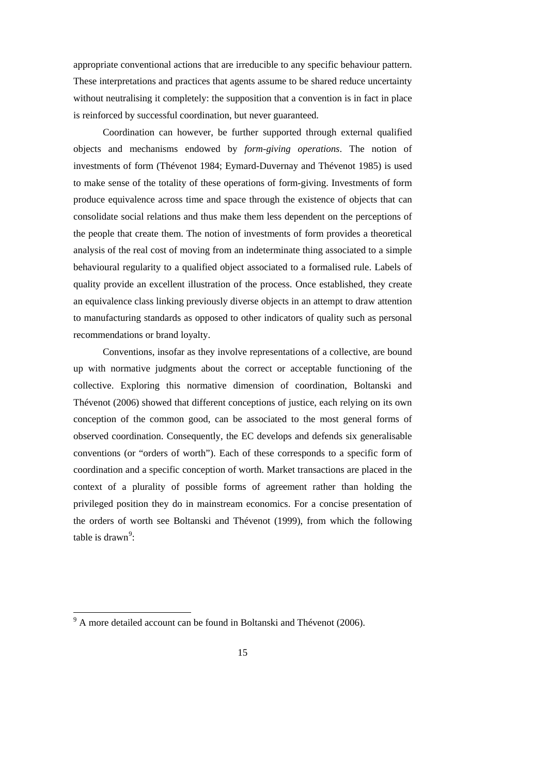appropriate conventional actions that are irreducible to any specific behaviour pattern. These interpretations and practices that agents assume to be shared reduce uncertainty without neutralising it completely: the supposition that a convention is in fact in place is reinforced by successful coordination, but never guaranteed.

Coordination can however, be further supported through external qualified objects and mechanisms endowed by *form-giving operations*. The notion of investments of form (Thévenot 1984; Eymard-Duvernay and Thévenot 1985) is used to make sense of the totality of these operations of form-giving. Investments of form produce equivalence across time and space through the existence of objects that can consolidate social relations and thus make them less dependent on the perceptions of the people that create them. The notion of investments of form provides a theoretical analysis of the real cost of moving from an indeterminate thing associated to a simple behavioural regularity to a qualified object associated to a formalised rule. Labels of quality provide an excellent illustration of the process. Once established, they create an equivalence class linking previously diverse objects in an attempt to draw attention to manufacturing standards as opposed to other indicators of quality such as personal recommendations or brand loyalty.

Conventions, insofar as they involve representations of a collective, are bound up with normative judgments about the correct or acceptable functioning of the collective. Exploring this normative dimension of coordination, Boltanski and Thévenot (2006) showed that different conceptions of justice, each relying on its own conception of the common good, can be associated to the most general forms of observed coordination. Consequently, the EC develops and defends six generalisable conventions (or "orders of worth"). Each of these corresponds to a specific form of coordination and a specific conception of worth. Market transactions are placed in the context of a plurality of possible forms of agreement rather than holding the privileged position they do in mainstream economics. For a concise presentation of the orders of worth see Boltanski and Thévenot (1999), from which the following table is drawn<sup>[9](#page-14-0)</sup>:

<span id="page-14-0"></span><sup>&</sup>lt;sup>9</sup> A more detailed account can be found in Boltanski and Thévenot (2006).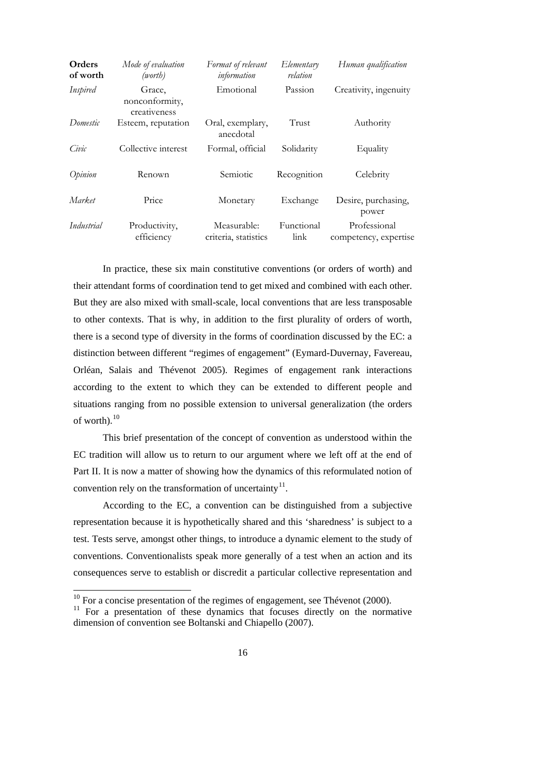| Orders<br>of worth | Mode of evaluation<br>(worth)            | Format of relevant<br>information   | Elementary<br>relation | Human qualification                   |
|--------------------|------------------------------------------|-------------------------------------|------------------------|---------------------------------------|
| Inspired           | Grace,<br>nonconformity,<br>creativeness | Emotional                           | Passion                | Creativity, ingenuity                 |
| Domestic           | Esteem, reputation                       | Oral, exemplary,<br>anecdotal       | Trust                  | Authority                             |
| Civic              | Collective interest                      | Formal, official                    | Solidarity             | Equality                              |
| Opinion            | Renown                                   | Semiotic                            | Recognition            | Celebrity                             |
| Market             | Price                                    | Monetary                            | Exchange               | Desire, purchasing,<br>power          |
| Industrial         | Productivity,<br>efficiency              | Measurable:<br>criteria, statistics | Functional<br>link     | Professional<br>competency, expertise |

In practice, these six main constitutive conventions (or orders of worth) and their attendant forms of coordination tend to get mixed and combined with each other. But they are also mixed with small-scale, local conventions that are less transposable to other contexts. That is why, in addition to the first plurality of orders of worth, there is a second type of diversity in the forms of coordination discussed by the EC: a distinction between different "regimes of engagement" (Eymard-Duvernay, Favereau, Orléan, Salais and Thévenot 2005). Regimes of engagement rank interactions according to the extent to which they can be extended to different people and situations ranging from no possible extension to universal generalization (the orders of worth). $10$  $10$ 

This brief presentation of the concept of convention as understood within the EC tradition will allow us to return to our argument where we left off at the end of Part II. It is now a matter of showing how the dynamics of this reformulated notion of convention rely on the transformation of uncertainty<sup>[11](#page-15-1)</sup>.

According to the EC, a convention can be distinguished from a subjective representation because it is hypothetically shared and this 'sharedness' is subject to a test. Tests serve, amongst other things, to introduce a dynamic element to the study of conventions. Conventionalists speak more generally of a test when an action and its consequences serve to establish or discredit a particular collective representation and

<u>.</u>

 $10$  For a concise presentation of the regimes of engagement, see Thévenot (2000).

<span id="page-15-1"></span><span id="page-15-0"></span><sup>&</sup>lt;sup>11</sup> For a presentation of these dynamics that focuses directly on the normative dimension of convention see Boltanski and Chiapello (2007).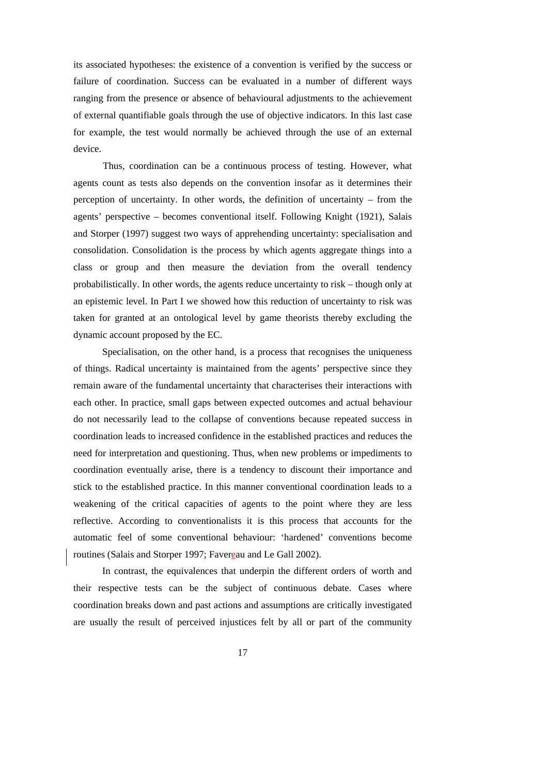its associated hypotheses: the existence of a convention is verified by the success or failure of coordination. Success can be evaluated in a number of different ways ranging from the presence or absence of behavioural adjustments to the achievement of external quantifiable goals through the use of objective indicators. In this last case for example, the test would normally be achieved through the use of an external device.

 Thus, coordination can be a continuous process of testing. However, what agents count as tests also depends on the convention insofar as it determines their perception of uncertainty. In other words, the definition of uncertainty – from the agents' perspective – becomes conventional itself. Following Knight (1921), Salais and Storper (1997) suggest two ways of apprehending uncertainty: specialisation and consolidation. Consolidation is the process by which agents aggregate things into a class or group and then measure the deviation from the overall tendency probabilistically. In other words, the agents reduce uncertainty to risk – though only at an epistemic level. In Part I we showed how this reduction of uncertainty to risk was taken for granted at an ontological level by game theorists thereby excluding the dynamic account proposed by the EC.

Specialisation, on the other hand, is a process that recognises the uniqueness of things. Radical uncertainty is maintained from the agents' perspective since they remain aware of the fundamental uncertainty that characterises their interactions with each other. In practice, small gaps between expected outcomes and actual behaviour do not necessarily lead to the collapse of conventions because repeated success in coordination leads to increased confidence in the established practices and reduces the need for interpretation and questioning. Thus, when new problems or impediments to coordination eventually arise, there is a tendency to discount their importance and stick to the established practice. In this manner conventional coordination leads to a weakening of the critical capacities of agents to the point where they are less reflective. According to conventionalists it is this process that accounts for the automatic feel of some conventional behaviour: 'hardened' conventions become routines (Salais and Storper 1997; Favereau and Le Gall 2002).

In contrast, the equivalences that underpin the different orders of worth and their respective tests can be the subject of continuous debate. Cases where coordination breaks down and past actions and assumptions are critically investigated are usually the result of perceived injustices felt by all or part of the community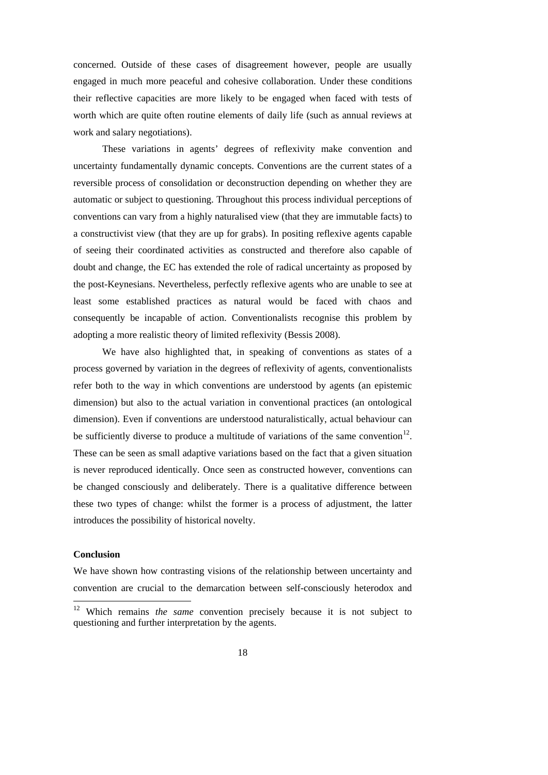concerned. Outside of these cases of disagreement however, people are usually engaged in much more peaceful and cohesive collaboration. Under these conditions their reflective capacities are more likely to be engaged when faced with tests of worth which are quite often routine elements of daily life (such as annual reviews at work and salary negotiations).

These variations in agents' degrees of reflexivity make convention and uncertainty fundamentally dynamic concepts. Conventions are the current states of a reversible process of consolidation or deconstruction depending on whether they are automatic or subject to questioning. Throughout this process individual perceptions of conventions can vary from a highly naturalised view (that they are immutable facts) to a constructivist view (that they are up for grabs). In positing reflexive agents capable of seeing their coordinated activities as constructed and therefore also capable of doubt and change, the EC has extended the role of radical uncertainty as proposed by the post-Keynesians. Nevertheless, perfectly reflexive agents who are unable to see at least some established practices as natural would be faced with chaos and consequently be incapable of action. Conventionalists recognise this problem by adopting a more realistic theory of limited reflexivity (Bessis 2008).

We have also highlighted that, in speaking of conventions as states of a process governed by variation in the degrees of reflexivity of agents, conventionalists refer both to the way in which conventions are understood by agents (an epistemic dimension) but also to the actual variation in conventional practices (an ontological dimension). Even if conventions are understood naturalistically, actual behaviour can be sufficiently diverse to produce a multitude of variations of the same convention<sup>[12](#page-17-0)</sup>. These can be seen as small adaptive variations based on the fact that a given situation is never reproduced identically. Once seen as constructed however, conventions can be changed consciously and deliberately. There is a qualitative difference between these two types of change: whilst the former is a process of adjustment, the latter introduces the possibility of historical novelty.

### **Conclusion**

We have shown how contrasting visions of the relationship between uncertainty and convention are crucial to the demarcation between self-consciously heterodox and

<span id="page-17-0"></span> $12$ 12 Which remains *the same* convention precisely because it is not subject to questioning and further interpretation by the agents.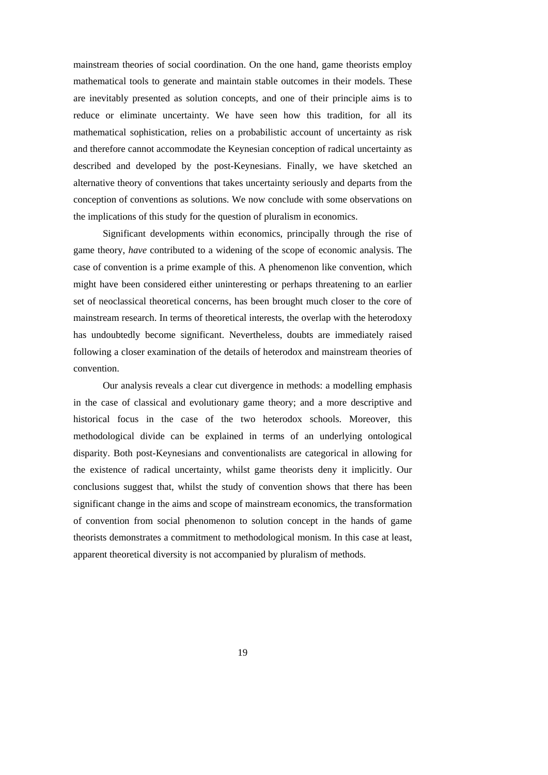mainstream theories of social coordination. On the one hand, game theorists employ mathematical tools to generate and maintain stable outcomes in their models. These are inevitably presented as solution concepts, and one of their principle aims is to reduce or eliminate uncertainty. We have seen how this tradition, for all its mathematical sophistication, relies on a probabilistic account of uncertainty as risk and therefore cannot accommodate the Keynesian conception of radical uncertainty as described and developed by the post-Keynesians. Finally, we have sketched an alternative theory of conventions that takes uncertainty seriously and departs from the conception of conventions as solutions. We now conclude with some observations on the implications of this study for the question of pluralism in economics.

 Significant developments within economics, principally through the rise of game theory, *have* contributed to a widening of the scope of economic analysis. The case of convention is a prime example of this. A phenomenon like convention, which might have been considered either uninteresting or perhaps threatening to an earlier set of neoclassical theoretical concerns, has been brought much closer to the core of mainstream research. In terms of theoretical interests, the overlap with the heterodoxy has undoubtedly become significant. Nevertheless, doubts are immediately raised following a closer examination of the details of heterodox and mainstream theories of convention.

Our analysis reveals a clear cut divergence in methods: a modelling emphasis in the case of classical and evolutionary game theory; and a more descriptive and historical focus in the case of the two heterodox schools. Moreover, this methodological divide can be explained in terms of an underlying ontological disparity. Both post-Keynesians and conventionalists are categorical in allowing for the existence of radical uncertainty, whilst game theorists deny it implicitly. Our conclusions suggest that, whilst the study of convention shows that there has been significant change in the aims and scope of mainstream economics, the transformation of convention from social phenomenon to solution concept in the hands of game theorists demonstrates a commitment to methodological monism. In this case at least, apparent theoretical diversity is not accompanied by pluralism of methods.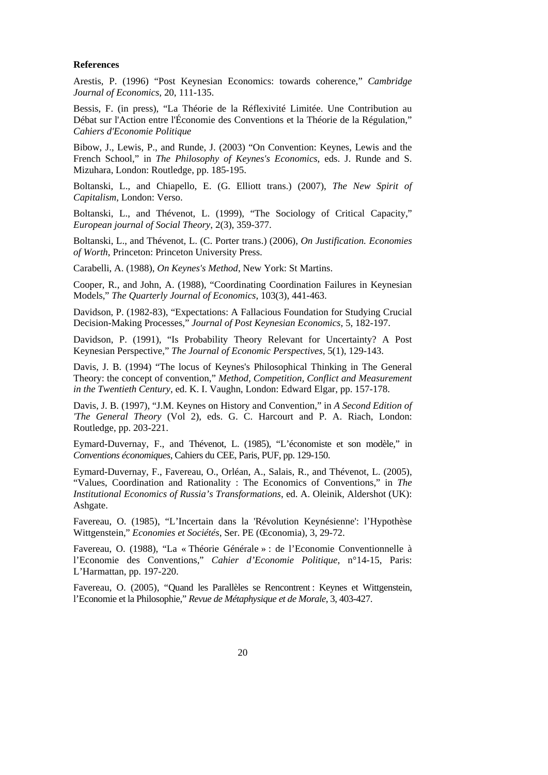#### **References**

Arestis, P. (1996) "Post Keynesian Economics: towards coherence," *Cambridge Journal of Economics*, 20, 111-135.

Bessis, F. (in press), "La Théorie de la Réflexivité Limitée. Une Contribution au Débat sur l'Action entre l'Économie des Conventions et la Théorie de la Régulation," *Cahiers d'Economie Politique*

Bibow, J., Lewis, P., and Runde, J. (2003) "On Convention: Keynes, Lewis and the French School," in *The Philosophy of Keynes's Economics*, eds. J. Runde and S. Mizuhara, London: Routledge, pp. 185-195.

Boltanski, L., and Chiapello, E. (G. Elliott trans.) (2007), *The New Spirit of Capitalism*, London: Verso.

Boltanski, L., and Thévenot, L. (1999), "The Sociology of Critical Capacity," *European journal of Social Theory*, 2(3), 359-377.

Boltanski, L., and Thévenot, L. (C. Porter trans.) (2006), *On Justification. Economies of Worth*, Princeton: Princeton University Press.

Carabelli, A. (1988), *On Keynes's Method*, New York: St Martins.

Cooper, R., and John, A. (1988), "Coordinating Coordination Failures in Keynesian Models," *The Quarterly Journal of Economics*, 103(3), 441-463.

Davidson, P. (1982-83), "Expectations: A Fallacious Foundation for Studying Crucial Decision-Making Processes," *Journal of Post Keynesian Economics*, 5, 182-197.

Davidson, P. (1991), "Is Probability Theory Relevant for Uncertainty? A Post Keynesian Perspective," *The Journal of Economic Perspectives*, 5(1), 129-143.

Davis, J. B. (1994) "The locus of Keynes's Philosophical Thinking in The General Theory: the concept of convention," *Method, Competition, Conflict and Measurement in the Twentieth Century*, ed. K. I. Vaughn, London: Edward Elgar, pp. 157-178.

Davis, J. B. (1997), "J.M. Keynes on History and Convention," in *A Second Edition of 'The General Theory* (Vol 2), eds. G. C. Harcourt and P. A. Riach, London: Routledge, pp. 203-221.

Eymard-Duvernay, F., and Thévenot, L. (1985), "L'économiste et son modèle," in *Conventions économiques*, Cahiers du CEE, Paris, PUF, pp. 129-150.

Eymard-Duvernay, F., Favereau, O., Orléan, A., Salais, R., and Thévenot, L. (2005), "Values, Coordination and Rationality : The Economics of Conventions," in *The Institutional Economics of Russia's Transformations*, ed. A. Oleinik, Aldershot (UK): Ashgate.

Favereau, O. (1985), "L'Incertain dans la 'Révolution Keynésienne': l'Hypothèse Wittgenstein," *Economies et Sociétés*, Ser. PE (Œconomia), 3, 29-72.

Favereau, O. (1988), "La « Théorie Générale » : de l'Economie Conventionnelle à l'Economie des Conventions," *Cahier d'Economie Politique*, n°14-15, Paris: L'Harmattan, pp. 197-220.

Favereau, O. (2005), "Quand les Parallèles se Rencontrent : Keynes et Wittgenstein, l'Economie et la Philosophie," *Revue de Métaphysique et de Morale*, 3, 403-427.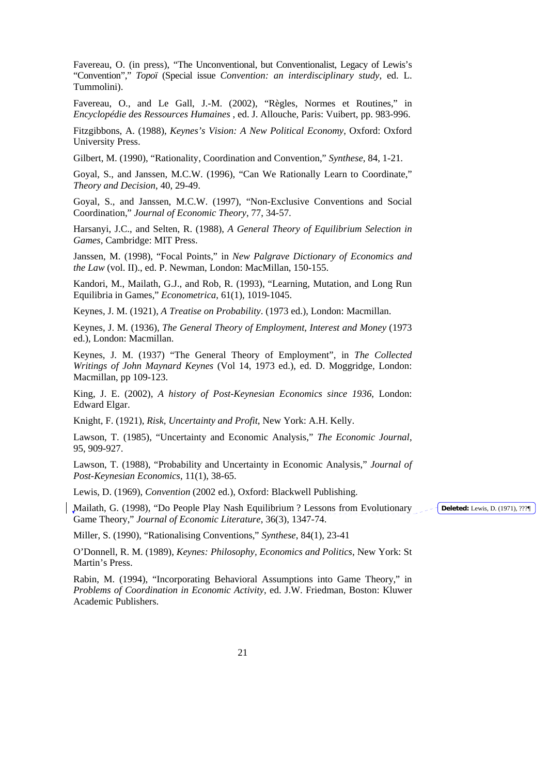Favereau, O. (in press), "The Unconventional, but Conventionalist, Legacy of Lewis's "Convention"," *Topoï* (Special issue *Convention: an interdisciplinary study*, ed. L. Tummolini).

Favereau, O., and Le Gall, J.-M. (2002), "Règles, Normes et Routines," in *Encyclopédie des Ressources Humaines* , ed. J. Allouche, Paris: Vuibert, pp. 983-996.

Fitzgibbons, A. (1988), *Keynes's Vision: A New Political Economy*, Oxford: Oxford University Press.

Gilbert, M. (1990), "Rationality, Coordination and Convention," *Synthese*, 84, 1-21.

Goyal, S., and Janssen, M.C.W. (1996), "Can We Rationally Learn to Coordinate," *Theory and Decision*, 40, 29-49.

Goyal, S., and Janssen, M.C.W. (1997), "Non-Exclusive Conventions and Social Coordination," *Journal of Economic Theory*, 77, 34-57.

Harsanyi, J.C., and Selten, R. (1988), *A General Theory of Equilibrium Selection in Games*, Cambridge: MIT Press.

Janssen, M. (1998), "Focal Points," in *New Palgrave Dictionary of Economics and the Law* (vol. II)., ed. P. Newman, London: MacMillan, 150-155.

Kandori, M., Mailath, G.J., and Rob, R. (1993), "Learning, Mutation, and Long Run Equilibria in Games," *Econometrica*, 61(1), 1019-1045.

Keynes, J. M. (1921), *A Treatise on Probability*. (1973 ed.), London: Macmillan.

Keynes, J. M. (1936), *The General Theory of Employment, Interest and Money* (1973 ed.), London: Macmillan.

Keynes, J. M. (1937) "The General Theory of Employment", in *The Collected Writings of John Maynard Keynes* (Vol 14, 1973 ed.), ed. D. Moggridge, London: Macmillan, pp 109-123.

King, J. E. (2002), *A history of Post-Keynesian Economics since 1936*, London: Edward Elgar.

Knight, F. (1921), *Risk, Uncertainty and Profit*, New York: A.H. Kelly.

Lawson, T. (1985), "Uncertainty and Economic Analysis," *The Economic Journal*, 95, 909-927.

Lawson, T. (1988), "Probability and Uncertainty in Economic Analysis," *Journal of Post-Keynesian Economics*, 11(1), 38-65.

Lewis, D. (1969), *Convention* (2002 ed.), Oxford: Blackwell Publishing.

Mailath, G. (1998), "Do People Play Nash Equilibrium ? Lessons from Evolutionary Game Theory," *Journal of Economic Literature*, 36(3), 1347-74.

Miller, S. (1990), "Rationalising Conventions," *Synthese*, 84(1), 23-41

O'Donnell, R. M. (1989), *Keynes: Philosophy, Economics and Politics*, New York: St Martin's Press.

Rabin, M. (1994), "Incorporating Behavioral Assumptions into Game Theory," in *Problems of Coordination in Economic Activity*, ed. J.W. Friedman, Boston: Kluwer Academic Publishers.

**Deleted:** Lewis, D. (1971), ???¶